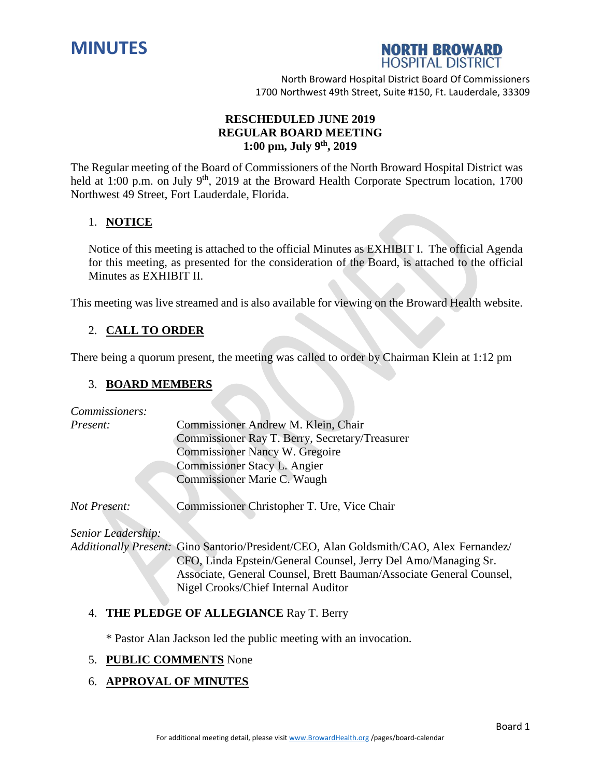



# **RESCHEDULED JUNE 2019 REGULAR BOARD MEETING 1:00 pm, July 9 th , 2019**

The Regular meeting of the Board of Commissioners of the North Broward Hospital District was held at 1:00 p.m. on July 9<sup>th</sup>, 2019 at the Broward Health Corporate Spectrum location, 1700 Northwest 49 Street, Fort Lauderdale, Florida.

## 1. **NOTICE**

Notice of this meeting is attached to the official Minutes as EXHIBIT I. The official Agenda for this meeting, as presented for the consideration of the Board, is attached to the official Minutes as EXHIBIT II.

This meeting was live streamed and is also available for viewing on the Broward Health website.

# 2. **CALL TO ORDER**

There being a quorum present, the meeting was called to order by Chairman Klein at 1:12 pm

## 3. **BOARD MEMBERS**

*Commissioners:*

| Present: | Commissioner Andrew M. Klein, Chair            |
|----------|------------------------------------------------|
|          | Commissioner Ray T. Berry, Secretary/Treasurer |
|          | <b>Commissioner Nancy W. Gregoire</b>          |
|          | <b>Commissioner Stacy L. Angier</b>            |
|          | Commissioner Marie C. Waugh                    |
|          |                                                |

*Not Present:* Commissioner Christopher T. Ure, Vice Chair

*Senior Leadership:*

*Additionally Present:* Gino Santorio/President/CEO, Alan Goldsmith/CAO, Alex Fernandez/ CFO, Linda Epstein/General Counsel, Jerry Del Amo/Managing Sr. Associate, General Counsel, Brett Bauman/Associate General Counsel, Nigel Crooks/Chief Internal Auditor

## 4. **THE PLEDGE OF ALLEGIANCE** Ray T. Berry

\* Pastor Alan Jackson led the public meeting with an invocation.

## 5. **PUBLIC COMMENTS** None

## 6. **APPROVAL OF MINUTES**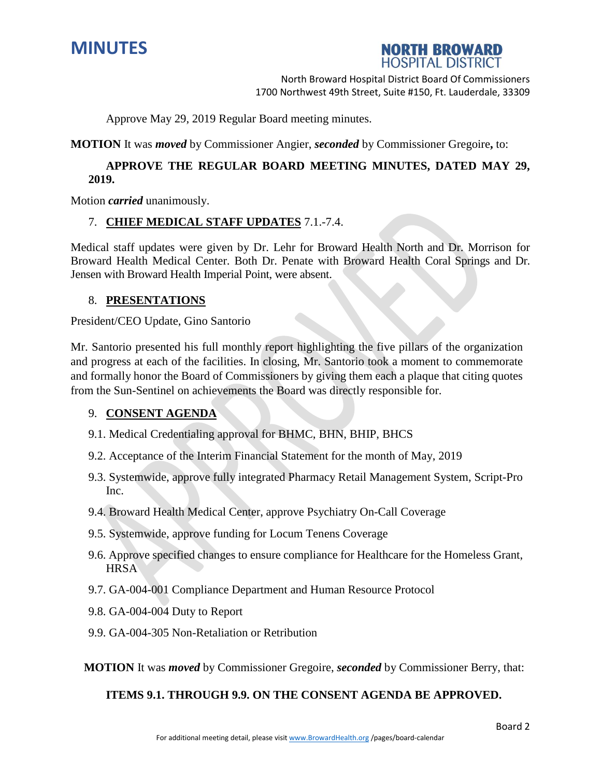



Approve May 29, 2019 Regular Board meeting minutes.

**MOTION** It was *moved* by Commissioner Angier, *seconded* by Commissioner Gregoire**,** to:

# **APPROVE THE REGULAR BOARD MEETING MINUTES, DATED MAY 29, 2019.**

Motion *carried* unanimously.

## 7. **CHIEF MEDICAL STAFF UPDATES** 7.1.-7.4.

Medical staff updates were given by Dr. Lehr for Broward Health North and Dr. Morrison for Broward Health Medical Center. Both Dr. Penate with Broward Health Coral Springs and Dr. Jensen with Broward Health Imperial Point, were absent.

## 8. **PRESENTATIONS**

President/CEO Update, Gino Santorio

Mr. Santorio presented his full monthly report highlighting the five pillars of the organization and progress at each of the facilities. In closing, Mr. Santorio took a moment to commemorate and formally honor the Board of Commissioners by giving them each a plaque that citing quotes from the Sun-Sentinel on achievements the Board was directly responsible for.

## 9. **CONSENT AGENDA**

- 9.1. Medical Credentialing approval for BHMC, BHN, BHIP, BHCS
- 9.2. Acceptance of the Interim Financial Statement for the month of May, 2019
- 9.3. Systemwide, approve fully integrated Pharmacy Retail Management System, Script-Pro Inc.
- 9.4. Broward Health Medical Center, approve Psychiatry On-Call Coverage
- 9.5. Systemwide, approve funding for Locum Tenens Coverage
- 9.6. Approve specified changes to ensure compliance for Healthcare for the Homeless Grant, **HRSA**
- 9.7. GA-004-001 Compliance Department and Human Resource Protocol
- 9.8. GA-004-004 Duty to Report
- 9.9. GA-004-305 Non-Retaliation or Retribution

**MOTION** It was *moved* by Commissioner Gregoire, *seconded* by Commissioner Berry, that:

## **ITEMS 9.1. THROUGH 9.9. ON THE CONSENT AGENDA BE APPROVED.**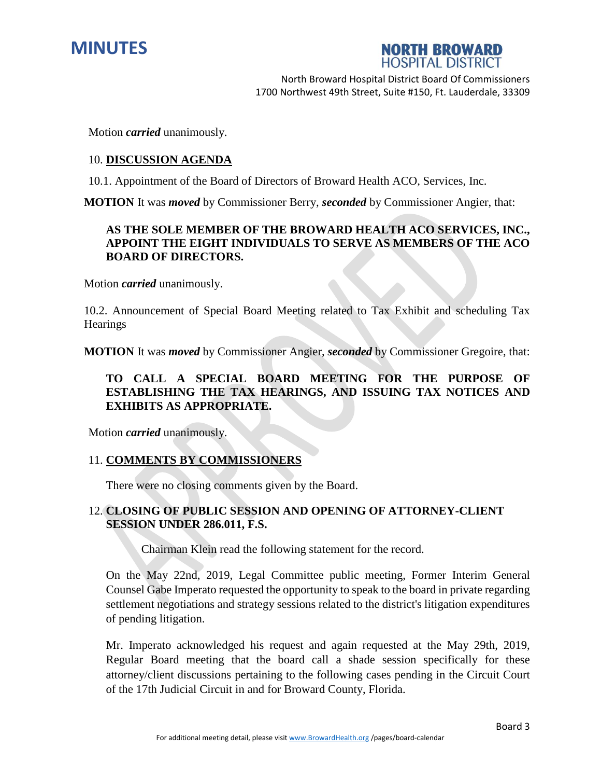



Motion *carried* unanimously.

#### 10. **DISCUSSION AGENDA**

10.1. Appointment of the Board of Directors of Broward Health ACO, Services, Inc.

**MOTION** It was *moved* by Commissioner Berry, *seconded* by Commissioner Angier, that:

## **AS THE SOLE MEMBER OF THE BROWARD HEALTH ACO SERVICES, INC., APPOINT THE EIGHT INDIVIDUALS TO SERVE AS MEMBERS OF THE ACO BOARD OF DIRECTORS.**

Motion *carried* unanimously.

10.2. Announcement of Special Board Meeting related to Tax Exhibit and scheduling Tax **Hearings** 

**MOTION** It was *moved* by Commissioner Angier, *seconded* by Commissioner Gregoire, that:

# **TO CALL A SPECIAL BOARD MEETING FOR THE PURPOSE OF ESTABLISHING THE TAX HEARINGS, AND ISSUING TAX NOTICES AND EXHIBITS AS APPROPRIATE.**

Motion *carried* unanimously.

## 11. **COMMENTS BY COMMISSIONERS**

There were no closing comments given by the Board.

## 12. **CLOSING OF PUBLIC SESSION AND OPENING OF ATTORNEY-CLIENT SESSION UNDER 286.011, F.S.**

Chairman Klein read the following statement for the record.

On the May 22nd, 2019, Legal Committee public meeting, Former Interim General Counsel Gabe Imperato requested the opportunity to speak to the board in private regarding settlement negotiations and strategy sessions related to the district's litigation expenditures of pending litigation.

Mr. Imperato acknowledged his request and again requested at the May 29th, 2019, Regular Board meeting that the board call a shade session specifically for these attorney/client discussions pertaining to the following cases pending in the Circuit Court of the 17th Judicial Circuit in and for Broward County, Florida.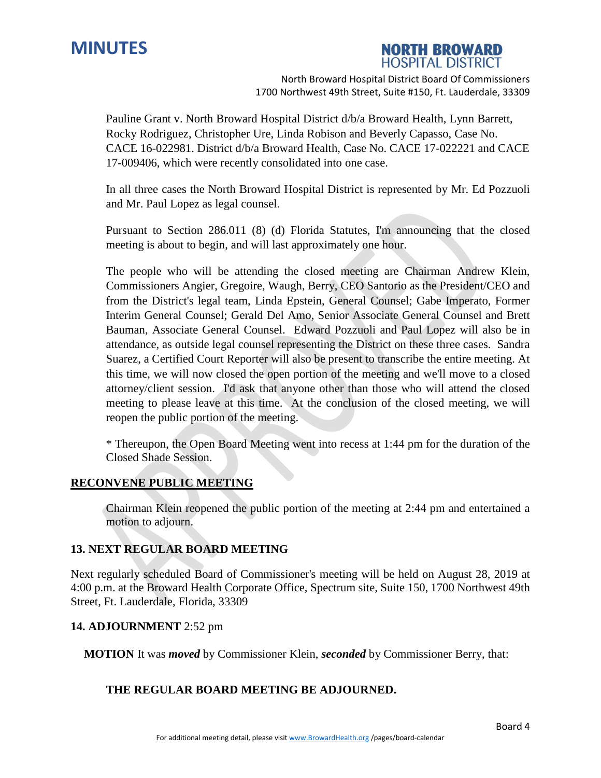

# **NORTH BROWARD HOSPITAL DISTRICT**

North Broward Hospital District Board Of Commissioners 1700 Northwest 49th Street, Suite #150, Ft. Lauderdale, 33309

Pauline Grant v. North Broward Hospital District d/b/a Broward Health, Lynn Barrett, Rocky Rodriguez, Christopher Ure, Linda Robison and Beverly Capasso, Case No. CACE 16-022981. District d/b/a Broward Health, Case No. CACE 17-022221 and CACE 17-009406, which were recently consolidated into one case.

In all three cases the North Broward Hospital District is represented by Mr. Ed Pozzuoli and Mr. Paul Lopez as legal counsel.

Pursuant to Section 286.011 (8) (d) Florida Statutes, I'm announcing that the closed meeting is about to begin, and will last approximately one hour.

The people who will be attending the closed meeting are Chairman Andrew Klein, Commissioners Angier, Gregoire, Waugh, Berry, CEO Santorio as the President/CEO and from the District's legal team, Linda Epstein, General Counsel; Gabe Imperato, Former Interim General Counsel; Gerald Del Amo, Senior Associate General Counsel and Brett Bauman, Associate General Counsel. Edward Pozzuoli and Paul Lopez will also be in attendance, as outside legal counsel representing the District on these three cases. Sandra Suarez, a Certified Court Reporter will also be present to transcribe the entire meeting. At this time, we will now closed the open portion of the meeting and we'll move to a closed attorney/client session. I'd ask that anyone other than those who will attend the closed meeting to please leave at this time. At the conclusion of the closed meeting, we will reopen the public portion of the meeting.

\* Thereupon, the Open Board Meeting went into recess at 1:44 pm for the duration of the Closed Shade Session.

## **RECONVENE PUBLIC MEETING**

Chairman Klein reopened the public portion of the meeting at 2:44 pm and entertained a motion to adjourn.

## **13. NEXT REGULAR BOARD MEETING**

Next regularly scheduled Board of Commissioner's meeting will be held on August 28, 2019 at 4:00 p.m. at the Broward Health Corporate Office, Spectrum site, Suite 150, 1700 Northwest 49th Street, Ft. Lauderdale, Florida, 33309

## **14. ADJOURNMENT** 2:52 pm

**MOTION** It was *moved* by Commissioner Klein, *seconded* by Commissioner Berry, that:

## **THE REGULAR BOARD MEETING BE ADJOURNED.**